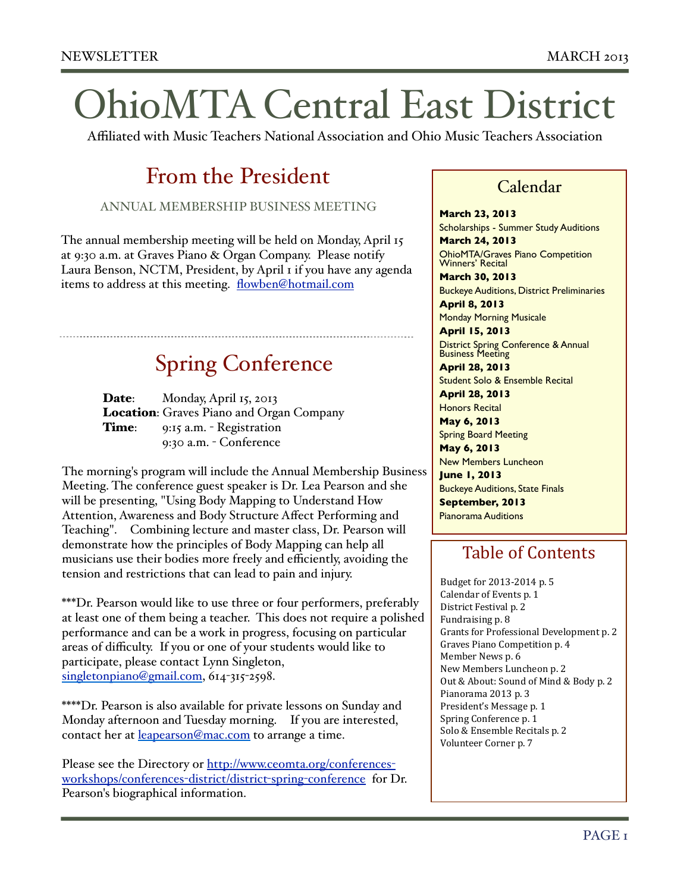# OhioMTA Central East District

Affiliated with Music Teachers National Association and Ohio Music Teachers Association

# From the President

ANNUAL MEMBERSHIP BUSINESS MEETING

The annual membership meeting will be held on Monday, April 15 at 9:30 a.m. at Graves Piano & Organ Company. Please notify Laura Benson, NCTM, President, by April 1 if you have any agenda items to address at this meeting. [flowben@hotmail.com](mailto:flowben@hotmail.com)

# Spring Conference

Date: Monday, April 15, 2013 Location: Graves Piano and Organ Company Time: 9:15 a.m. - Registration 9:30 a.m. - Conference

The morning's program will include the Annual Membership Business Meeting. The conference guest speaker is Dr. Lea Pearson and she will be presenting, "Using Body Mapping to Understand How Attention, Awareness and Body Structure Affect Performing and Teaching". Combining lecture and master class, Dr. Pearson will demonstrate how the principles of Body Mapping can help all musicians use their bodies more freely and efficiently, avoiding the tension and restrictions that can lead to pain and injury.

\*\*\*Dr. Pearson would like to use three or four performers, preferably at least one of them being a teacher. This does not require a polished performance and can be a work in progress, focusing on particular areas of difficulty. If you or one of your students would like to participate, please contact Lynn Singleton, [singletonpiano@gmail.com,](mailto:singletonpiano@gmail.com) 614-315-2598.

\*\*\*\*Dr. Pearson is also available for private lessons on Sunday and Monday afternoon and Tuesday morning. If you are interested, contact her at [leapearson@mac.com](mailto:leapearson@mac.com) to arrange a time.

Please see the Directory or [http://www.ceomta.org/conferences](http://www.ceomta.org/conferences-workshops/conferences-district/district-spring-conference)[workshops/conferences](http://www.ceomta.org/conferences-workshops/conferences-district/district-spring-conference)-district/district-spring-conference for Dr. Pearson's biographical information.

### Calendar

**March 23, 2013**

Scholarships - Summer Study Auditions **March 24, 2013**

OhioMTA/Graves Piano Competition Winners' Recital **March 30, 2013**

Buckeye Auditions, District Preliminaries **April 8, 2013**

Monday Morning Musicale

**April 15, 2013** District Spring Conference & Annual Business Meeting

**April 28, 2013** Student Solo & Ensemble Recital

**April 28, 2013** Honors Recital

**May 6, 2013**

Spring Board Meeting

**May 6, 2013** New Members Luncheon **June 1, 2013** Buckeye Auditions, State Finals **September, 2013**

Pianorama Auditions

### Table of Contents

Budget for 2013-2014 p. 5 Calendar of Events p. 1 District Festival p. 2 Fundraising p. 8 Grants for Professional Development p. 2 Graves Piano Competition p. 4 Member News p. 6 New Members Luncheon p. 2 Out & About: Sound of Mind & Body p. 2 Pianorama 2013 p. 3 President's Message p. 1 Spring Conference p. 1 Solo & Ensemble Recitals p. 2 Volunteer Corner p. 7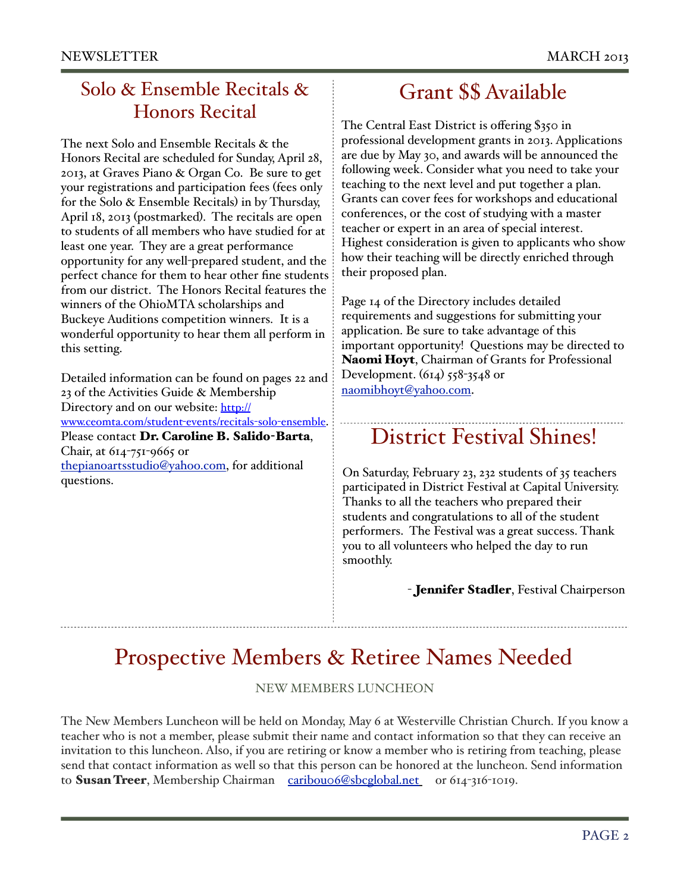### Solo & Ensemble Recitals & Honors Recital

The next Solo and Ensemble Recitals & the Honors Recital are scheduled for Sunday, April 28, 2013, at Graves Piano & Organ Co. Be sure to get your registrations and participation fees (fees only for the Solo & Ensemble Recitals) in by Thursday, April 18, 2013 (postmarked). The recitals are open to students of all members who have studied for at least one year. They are a great performance opportunity for any well-prepared student, and the perfect chance for them to hear other fine students from our district. The Honors Recital features the winners of the OhioMTA scholarships and Buckeye Auditions competition winners. It is a wonderful opportunity to hear them all perform in this setting.

Detailed information can be found on pages 22 and 23 of the Activities Guide & Membership Directory and on our website: [http://](http://www.ceomta.com/student-events/recitals-solo-ensemble) [www.ceomta.com/student](http://www.ceomta.com/student-events/recitals-solo-ensemble)-events/recitals-solo-ensemble. Please contact Dr. Caroline B. Salido-Barta, Chair, at 614-751-9665 or [thepianoartsstudio@yahoo.com,](mailto:thepianoartsstudio@yahoo.com) for additional questions.

### Grant \$\$ Available

The Central East District is offering \$350 in professional development grants in 2013. Applications are due by May 30, and awards will be announced the following week. Consider what you need to take your teaching to the next level and put together a plan. Grants can cover fees for workshops and educational conferences, or the cost of studying with a master teacher or expert in an area of special interest. Highest consideration is given to applicants who show how their teaching will be directly enriched through their proposed plan.

Page 14 of the Directory includes detailed requirements and suggestions for submitting your application. Be sure to take advantage of this important opportunity! Questions may be directed to Naomi Hoyt, Chairman of Grants for Professional Development.  $(614)$  558-3548 or [naomibhoyt@yahoo.com.](mailto:naomibhoyt@yahoo.com)

# District Festival Shines!

On Saturday, February 23, 232 students of 35 teachers participated in District Festival at Capital University. Thanks to all the teachers who prepared their students and congratulations to all of the student performers. The Festival was a great success. Thank you to all volunteers who helped the day to run smoothly.

#### - **Jennifer Stadler**, Festival Chairperson

# Prospective Members & Retiree Names Needed

#### NEW MEMBERS LUNCHEON

The New Members Luncheon will be held on Monday, May 6 at Westerville Christian Church. If you know a teacher who is not a member, please submit their name and contact information so that they can receive an invitation to this luncheon. Also, if you are retiring or know a member who is retiring from teaching, please send that contact information as well so that this person can be honored at the luncheon. Send information to Susan Treer, Membership Chairman [caribou06@sbcglobal.net](mailto:caribou06@sbcglobal.net) or 614-316-1019.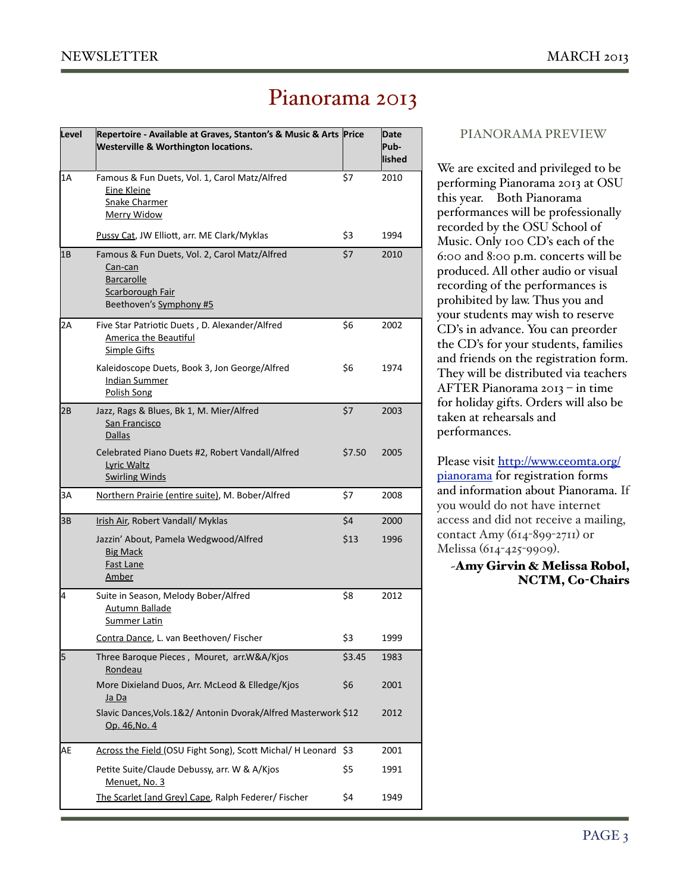## Pianorama 2013

| Level | Repertoire - Available at Graves, Stanton's & Music & Arts Price<br><b>Westerville &amp; Worthington locations.</b>          |        | Date<br>Pub-<br>lished |
|-------|------------------------------------------------------------------------------------------------------------------------------|--------|------------------------|
| 1A    | Famous & Fun Duets, Vol. 1, Carol Matz/Alfred<br><b>Eine Kleine</b><br><b>Snake Charmer</b><br><b>Merry Widow</b>            | \$7    | 2010                   |
|       | Pussy Cat, JW Elliott, arr. ME Clark/Myklas                                                                                  | \$3    | 1994                   |
| 1Β    | Famous & Fun Duets, Vol. 2, Carol Matz/Alfred<br>Can-can<br><b>Barcarolle</b><br>Scarborough Fair<br>Beethoven's Symphony #5 | \$7    | 2010                   |
| 2Α    | Five Star Patriotic Duets, D. Alexander/Alfred<br><b>America the Beautiful</b><br><b>Simple Gifts</b>                        | \$6    | 2002                   |
|       | Kaleidoscope Duets, Book 3, Jon George/Alfred<br>Indian Summer<br>Polish Song                                                | \$6    | 1974                   |
| 2B    | Jazz, Rags & Blues, Bk 1, M. Mier/Alfred<br>San Francisco<br><b>Dallas</b>                                                   | \$7    | 2003                   |
|       | Celebrated Piano Duets #2, Robert Vandall/Alfred<br>Lyric Waltz<br><b>Swirling Winds</b>                                     | \$7.50 | 2005                   |
| 3A    | Northern Prairie (entire suite), M. Bober/Alfred                                                                             | \$7    | 2008                   |
| 3B    | Irish Air, Robert Vandall/ Myklas                                                                                            | \$4    | 2000                   |
|       | Jazzin' About, Pamela Wedgwood/Alfred<br><b>Big Mack</b><br><b>Fast Lane</b><br><b>Amber</b>                                 | \$13   | 1996                   |
| 4     | Suite in Season, Melody Bober/Alfred<br><u>Autumn Ballade</u><br><b>Summer Latin</b>                                         | \$8    | 2012                   |
|       | Contra Dance, L. van Beethoven/ Fischer                                                                                      | \$3    | 1999                   |
| 5     | Three Baroque Pieces, Mouret, arr.W&A/Kjos<br>Rondeau                                                                        | \$3.45 | 1983                   |
|       | More Dixieland Duos, Arr. McLeod & Elledge/Kjos<br><u>Ja Da</u>                                                              | \$6    | 2001                   |
|       | Slavic Dances, Vols. 1&2/ Antonin Dvorak/Alfred Masterwork \$12<br>Op. 46, No. 4                                             |        | 2012                   |
| AE    | Across the Field (OSU Fight Song), Scott Michal/ H Leonard \$3                                                               |        | 2001                   |
|       | Petite Suite/Claude Debussy, arr. W & A/Kjos<br>Menuet, No. 3                                                                | \$5    | 1991                   |
|       | The Scarlet [and Grey] Cape, Ralph Federer/ Fischer                                                                          | \$4    | 1949                   |

#### PIANORAMA PREVIEW

We are excited and privileged to be performing Pianorama 2013 at OSU this year. Both Pianorama performances will be professionally recorded by the OSU School of Music. Only 100 CD's each of the 6:00 and 8:00 p.m. concerts will be produced. All other audio or visual recording of the performances is prohibited by law. Thus you and your students may wish to reserve CD's in advance. You can preorder the CD's for your students, families and friends on the registration form. They will be distributed via teachers AFTER Pianorama 2013 – in time for holiday gifts. Orders will also be taken at rehearsals and performances.

Please visit [http://www.ceomta.org/](http://www.ceomta.org/pianorama) [pianorama](http://www.ceomta.org/pianorama) for registration forms and information about Pianorama. If you would do not have internet access and did not receive a mailing, contact Amy (614-899-2711) or Melissa (614-425-9909).

~Amy Girvin & Melissa Robol, NCTM, Co-Chairs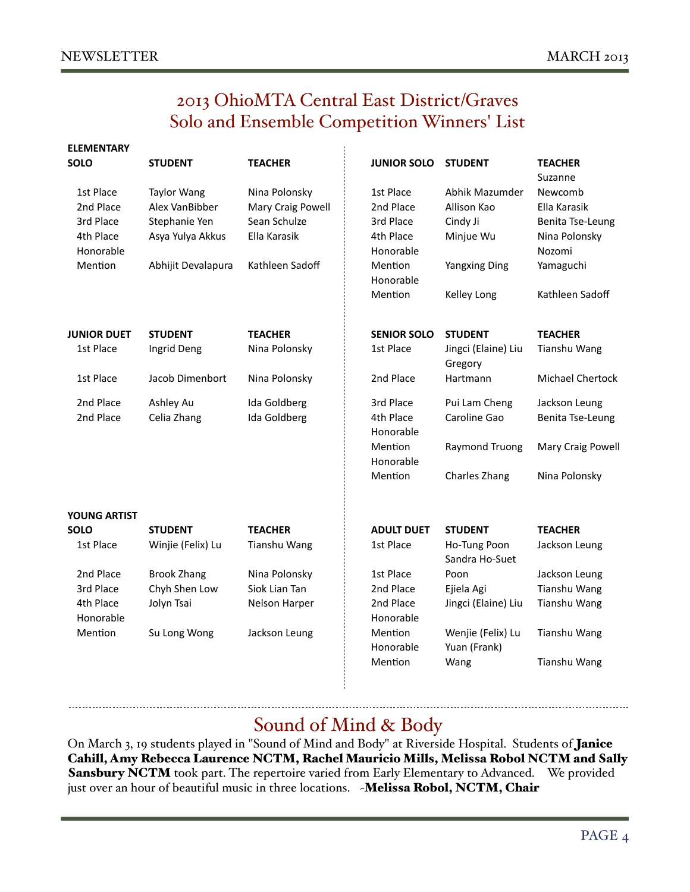**ELEMENTARY** 

### 2013 OhioMTA Central East District/Graves Solo and Ensemble Competition Winners' List

| <b>ELEMENTARY</b><br><b>SOLO</b> | <b>STUDENT</b>     | <b>TEACHER</b>      | <b>JUNIOR SOLO</b>     | <b>STUDENT</b>                    | <b>TEACHER</b><br>Suzanne |
|----------------------------------|--------------------|---------------------|------------------------|-----------------------------------|---------------------------|
| 1st Place                        | <b>Taylor Wang</b> | Nina Polonsky       | 1st Place              | Abhik Mazumder                    | Newcomb                   |
| 2nd Place                        | Alex VanBibber     | Mary Craig Powell   | 2nd Place              | Allison Kao                       | Ella Karasik              |
| 3rd Place                        | Stephanie Yen      | Sean Schulze        | 3rd Place              | Cindy Ji                          | Benita Tse-Leung          |
| 4th Place                        | Asya Yulya Akkus   | Ella Karasik        | 4th Place              | Minjue Wu                         | Nina Polonsky             |
| Honorable                        |                    |                     | Honorable              |                                   | Nozomi                    |
| Mention                          | Abhijit Devalapura | Kathleen Sadoff     | Mention<br>Honorable   | <b>Yangxing Ding</b>              | Yamaguchi                 |
|                                  |                    |                     | Mention                | Kelley Long                       | Kathleen Sadoff           |
| <b>JUNIOR DUET</b>               | <b>STUDENT</b>     | <b>TEACHER</b>      | <b>SENIOR SOLO</b>     | <b>STUDENT</b>                    | <b>TEACHER</b>            |
| 1st Place                        | Ingrid Deng        | Nina Polonsky       | 1st Place              | Jingci (Elaine) Liu<br>Gregory    | Tianshu Wang              |
| 1st Place                        | Jacob Dimenbort    | Nina Polonsky       | 2nd Place              | Hartmann                          | <b>Michael Chertock</b>   |
| 2nd Place                        | Ashley Au          | Ida Goldberg        | 3rd Place              | Pui Lam Cheng                     | Jackson Leung             |
| 2nd Place                        | Celia Zhang        | Ida Goldberg        | 4th Place<br>Honorable | Caroline Gao                      | Benita Tse-Leung          |
|                                  |                    |                     | Mention<br>Honorable   | <b>Raymond Truong</b>             | Mary Craig Powell         |
|                                  |                    |                     | Mention                | Charles Zhang                     | Nina Polonsky             |
| <b>YOUNG ARTIST</b>              |                    |                     |                        |                                   |                           |
| <b>SOLO</b>                      | <b>STUDENT</b>     | <b>TEACHER</b>      | <b>ADULT DUET</b>      | <b>STUDENT</b>                    | <b>TEACHER</b>            |
| 1st Place                        | Winjie (Felix) Lu  | <b>Tianshu Wang</b> | 1st Place              | Ho-Tung Poon<br>Sandra Ho-Suet    | Jackson Leung             |
| 2nd Place                        | <b>Brook Zhang</b> | Nina Polonsky       | 1st Place              | Poon                              | Jackson Leung             |
| 3rd Place                        | Chyh Shen Low      | Siok Lian Tan       | 2nd Place              | Ejiela Agi                        | Tianshu Wang              |
| 4th Place<br>Honorable           | Jolyn Tsai         | Nelson Harper       | 2nd Place<br>Honorable | Jingci (Elaine) Liu               | Tianshu Wang              |
| Mention                          | Su Long Wong       | Jackson Leung       | Mention<br>Honorable   | Wenjie (Felix) Lu<br>Yuan (Frank) | Tianshu Wang              |
|                                  |                    |                     | Mention                | Wang                              | <b>Tianshu Wang</b>       |
|                                  |                    |                     |                        |                                   |                           |

### Sound of Mind & Body

On March 3, 19 students played in "Sound of Mind and Body" at Riverside Hospital. Students of Janice Cahill, Amy Rebecca Laurence NCTM, Rachel Mauricio Mills, Melissa Robol NCTM and Sally Sansbury NCTM took part. The repertoire varied from Early Elementary to Advanced. We provided just over an hour of beautiful music in three locations. - Melissa Robol, NCTM, Chair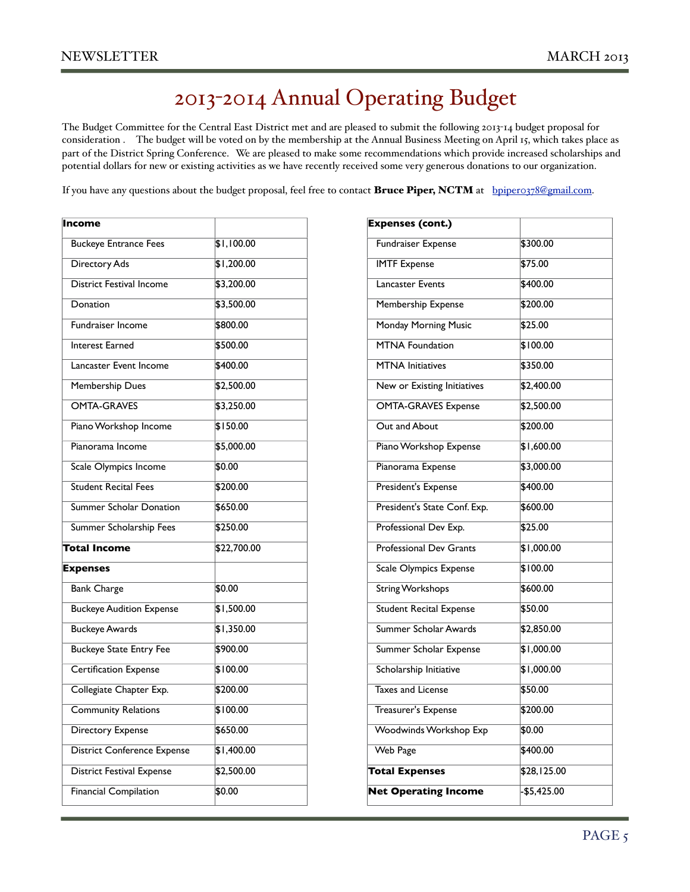# 2013-2014 Annual Operating Budget

The Budget Committee for the Central East District met and are pleased to submit the following 2013-14 budget proposal for consideration . The budget will be voted on by the membership at the Annual Business Meeting on April 15, which takes place as part of the District Spring Conference. We are pleased to make some recommendations which provide increased scholarships and potential dollars for new or existing activities as we have recently received some very generous donations to our organization.

If you have any questions about the budget proposal, feel free to contact Bruce Piper, NCTM at [bpiper0378@gmail.com.](mailto:bpiper0378@gmail.com)

| Income                             |             |
|------------------------------------|-------------|
| <b>Buckeye Entrance Fees</b>       | \$1,100.00  |
| Directory Ads                      | \$1,200.00  |
| <b>District Festival Income</b>    | \$3,200.00  |
| Donation                           | \$3,500.00  |
| Fundraiser Income                  | \$800.00    |
| <b>Interest Earned</b>             | \$500.00    |
| Lancaster Event Income             | \$400.00    |
| Membership Dues                    | \$2,500.00  |
| <b>OMTA-GRAVES</b>                 | \$3,250.00  |
| Piano Workshop Income              | \$150.00    |
| Pianorama Income                   | \$5,000.00  |
| Scale Olympics Income              | \$0.00      |
| <b>Student Recital Fees</b>        | \$200.00    |
| Summer Scholar Donation            | \$650.00    |
| Summer Scholarship Fees            | \$250.00    |
| Total Income                       | \$22,700.00 |
| <b>Expenses</b>                    |             |
| <b>Bank Charge</b>                 | \$0.00      |
| <b>Buckeye Audition Expense</b>    | \$1,500.00  |
| <b>Buckeye Awards</b>              | \$1,350.00  |
| <b>Buckeye State Entry Fee</b>     | \$900.00    |
| Certification Expense              | \$100.00    |
| Collegiate Chapter Exp.            | \$200.00    |
| <b>Community Relations</b>         | \$100.00    |
| Directory Expense                  | \$650.00    |
| <b>District Conference Expense</b> | \$1,400.00  |
| <b>District Festival Expense</b>   | \$2,500.00  |
| Financial Compilation              | \$0.00      |
|                                    |             |

| <b>Expenses (cont.)</b>        |             |
|--------------------------------|-------------|
| Fundraiser Expense             | \$300.00    |
| <b>IMTF Expense</b>            | \$75.00     |
| <b>Lancaster Events</b>        | \$400.00    |
| <b>Membership Expense</b>      | \$200.00    |
| <b>Monday Morning Music</b>    | \$25.00     |
| <b>MTNA Foundation</b>         | \$100.00    |
| <b>MTNA</b> Initiatives        | \$350.00    |
| New or Existing Initiatives    | \$2,400.00  |
| <b>OMTA-GRAVES Expense</b>     | \$2,500.00  |
| Out and About                  | \$200.00    |
| Piano Workshop Expense         | \$1,600.00  |
| Pianorama Expense              | \$3,000.00  |
| President's Expense            | \$400.00    |
| President's State Conf. Exp.   | \$600.00    |
| Professional Dev Exp.          | \$25.00     |
| <b>Professional Dev Grants</b> | \$1,000.00  |
| Scale Olympics Expense         | \$100.00    |
| <b>String Workshops</b>        | \$600.00    |
| <b>Student Recital Expense</b> | \$50.00     |
| Summer Scholar Awards          | \$2,850.00  |
| Summer Scholar Expense         | \$1,000.00  |
| Scholarship Initiative         | \$1,000.00  |
| <b>Taxes and License</b>       | \$50.00     |
| Treasurer's Expense            | \$200.00    |
| Woodwinds Workshop Exp         | \$0.00      |
| Web Page                       | \$400.00    |
| <b>Total Expenses</b>          | \$28,125.00 |
| <b>Net Operating Income</b>    | -\$5,425.00 |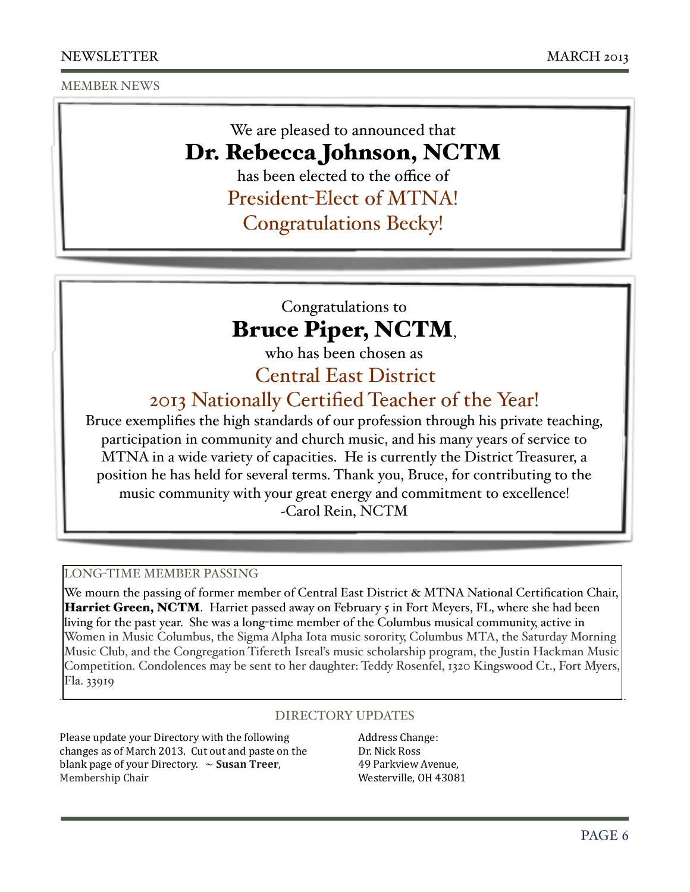MEMBER NEWS

### We are pleased to announced that Dr. Rebecca Johnson, NCTM

has been elected to the office of

President-Elect of MTNA!

Congratulations Becky!

### Congratulations to Bruce Piper, NCTM,

who has been chosen as

Central East District

2013 Nationally Certified Teacher of the Year!

Bruce exemplifies the high standards of our profession through his private teaching, participation in community and church music, and his many years of service to MTNA in a wide variety of capacities. He is currently the District Treasurer, a position he has held for several terms. Thank you, Bruce, for contributing to the music community with your great energy and commitment to excellence! ~Carol Rein, NCTM

#### LONG-TIME MEMBER PASSING

We mourn the passing of former member of Central East District & MTNA National Certification Chair, Harriet Green, NCTM. Harriet passed away on February 5 in Fort Meyers, FL, where she had been living for the past year. She was a long-time member of the Columbus musical community, active in Women in Music Columbus, the Sigma Alpha Iota music sorority, Columbus MTA, the Saturday Morning Music Club, and the Congregation Tifereth Isreal's music scholarship program, the Justin Hackman Music Competition. Condolences may be sent to her daughter: Teddy Rosenfel, 1320 Kingswood Ct., Fort Myers, Fla. 33919

#### DIRECTORY UPDATES

Please update your Directory with the following changes as of March 2013. Cut out and paste on the blank page of your Directory.  $\sim$  **Susan Treer**, Membership Chair

Address Change: Dr. Nick Ross 49 Parkview Avenue, Westerville, OH 43081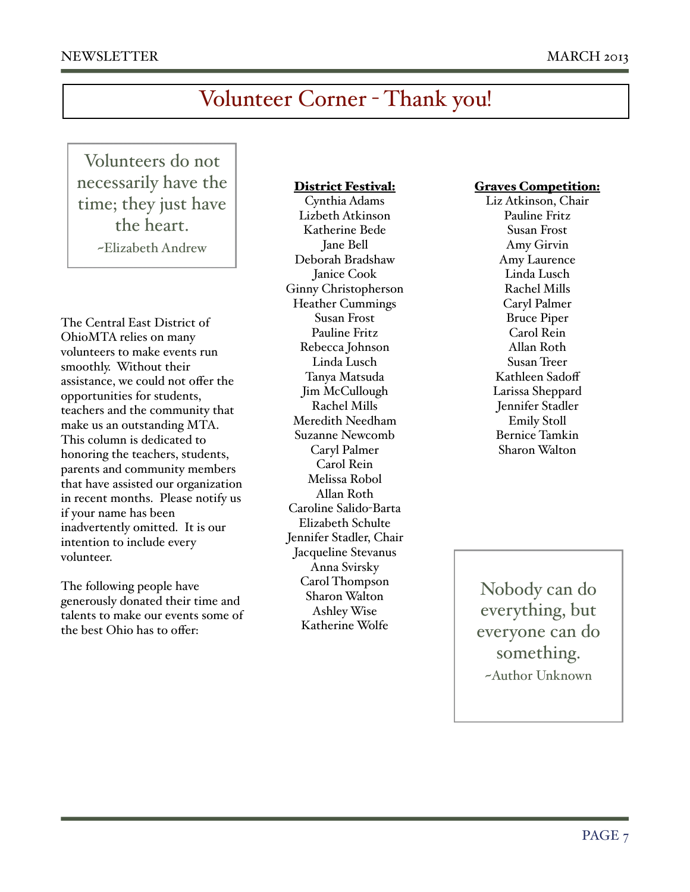# Volunteer Corner - Thank you!

Volunteers do not necessarily have the time; they just have the heart. ~Elizabeth Andrew

The Central East District of OhioMTA relies on many volunteers to make events run smoothly. Without their assistance, we could not offer the opportunities for students, teachers and the community that make us an outstanding MTA. This column is dedicated to honoring the teachers, students, parents and community members that have assisted our organization in recent months. Please notify us if your name has been inadvertently omitted. It is our intention to include every volunteer.

The following people have generously donated their time and talents to make our events some of the best Ohio has to offer:

#### District Festival:

Cynthia Adams Lizbeth Atkinson Katherine Bede Jane Bell Deborah Bradshaw Janice Cook Ginny Christopherson Heather Cummings Susan Frost Pauline Fritz Rebecca Johnson Linda Lusch Tanya Matsuda Jim McCullough Rachel Mills Meredith Needham Suzanne Newcomb Caryl Palmer Carol Rein Melissa Robol Allan Roth Caroline Salido-Barta Elizabeth Schulte Jennifer Stadler, Chair Jacqueline Stevanus Anna Svirsky Carol Thompson Sharon Walton Ashley Wise Katherine Wolfe

#### Graves Competition:

Liz Atkinson, Chair Pauline Fritz Susan Frost Amy Girvin Amy Laurence Linda Lusch Rachel Mills Caryl Palmer Bruce Piper Carol Rein Allan Roth Susan Treer Kathleen Sadoff Larissa Sheppard Jennifer Stadler Emily Stoll Bernice Tamkin Sharon Walton

Nobody can do everything, but everyone can do something. ~Author Unknown